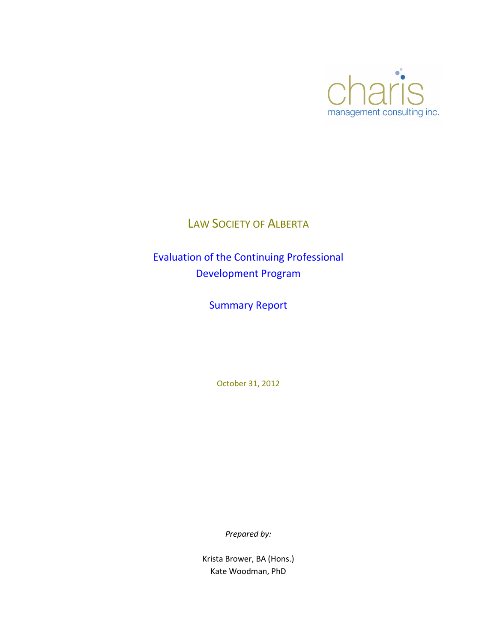

# LAW SOCIETY OF ALBERTA

Evaluation of the Continuing Professional Development Program

Summary Report

October 31, 2012

*Prepared by:*

Krista Brower, BA (Hons.) Kate Woodman, PhD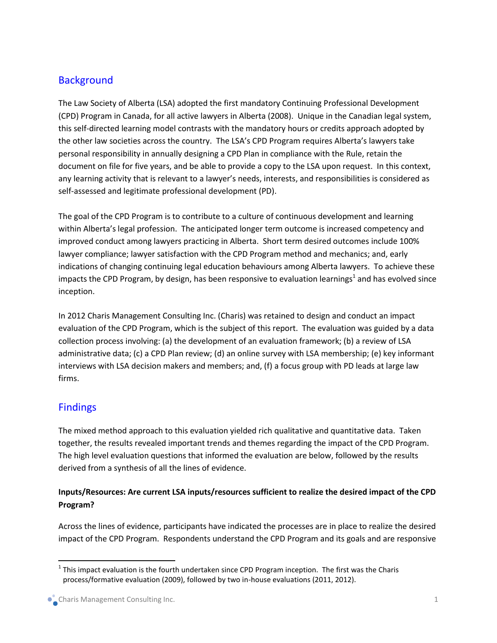## **Background**

The Law Society of Alberta (LSA) adopted the first mandatory Continuing Professional Development (CPD) Program in Canada, for all active lawyers in Alberta (2008). Unique in the Canadian legal system, this self-directed learning model contrasts with the mandatory hours or credits approach adopted by the other law societies across the country. The LSA's CPD Program requires Alberta's lawyers take personal responsibility in annually designing a CPD Plan in compliance with the Rule, retain the document on file for five years, and be able to provide a copy to the LSA upon request. In this context, any learning activity that is relevant to a lawyer's needs, interests, and responsibilities is considered as self-assessed and legitimate professional development (PD).

The goal of the CPD Program is to contribute to a culture of continuous development and learning within Alberta's legal profession. The anticipated longer term outcome is increased competency and improved conduct among lawyers practicing in Alberta. Short term desired outcomes include 100% lawyer compliance; lawyer satisfaction with the CPD Program method and mechanics; and, early indications of changing continuing legal education behaviours among Alberta lawyers. To achieve these impacts the CPD Program, by design, has been responsive to evaluation learnings<sup>1</sup> and has evolved since inception.

In 2012 Charis Management Consulting Inc. (Charis) was retained to design and conduct an impact evaluation of the CPD Program, which is the subject of this report. The evaluation was guided by a data collection process involving: (a) the development of an evaluation framework; (b) a review of LSA administrative data; (c) a CPD Plan review; (d) an online survey with LSA membership; (e) key informant interviews with LSA decision makers and members; and, (f) a focus group with PD leads at large law firms.

## Findings

 $\overline{a}$ 

The mixed method approach to this evaluation yielded rich qualitative and quantitative data. Taken together, the results revealed important trends and themes regarding the impact of the CPD Program. The high level evaluation questions that informed the evaluation are below, followed by the results derived from a synthesis of all the lines of evidence.

### **Inputs/Resources: Are current LSA inputs/resources sufficient to realize the desired impact of the CPD Program?**

Across the lines of evidence, participants have indicated the processes are in place to realize the desired impact of the CPD Program. Respondents understand the CPD Program and its goals and are responsive

 $^1$  This impact evaluation is the fourth undertaken since CPD Program inception. The first was the Charis process/formative evaluation (2009), followed by two in-house evaluations (2011, 2012).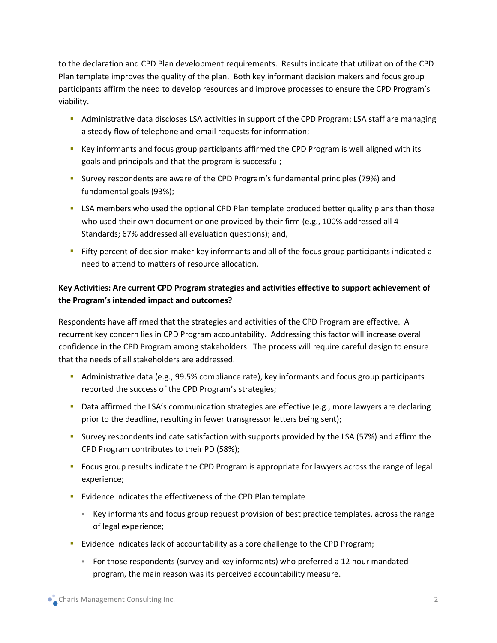to the declaration and CPD Plan development requirements. Results indicate that utilization of the CPD Plan template improves the quality of the plan. Both key informant decision makers and focus group participants affirm the need to develop resources and improve processes to ensure the CPD Program's viability.

- **Administrative data discloses LSA activities in support of the CPD Program; LSA staff are managing 4** a steady flow of telephone and email requests for information;
- Key informants and focus group participants affirmed the CPD Program is well aligned with its goals and principals and that the program is successful;
- Survey respondents are aware of the CPD Program's fundamental principles (79%) and fundamental goals (93%);
- **LISA members who used the optional CPD Plan template produced better quality plans than those** who used their own document or one provided by their firm (e.g., 100% addressed all 4 Standards; 67% addressed all evaluation questions); and,
- Fifty percent of decision maker key informants and all of the focus group participants indicated a need to attend to matters of resource allocation.

### **Key Activities: Are current CPD Program strategies and activities effective to support achievement of the Program's intended impact and outcomes?**

Respondents have affirmed that the strategies and activities of the CPD Program are effective. A recurrent key concern lies in CPD Program accountability. Addressing this factor will increase overall confidence in the CPD Program among stakeholders. The process will require careful design to ensure that the needs of all stakeholders are addressed.

- **Administrative data (e.g., 99.5% compliance rate), key informants and focus group participants** reported the success of the CPD Program's strategies;
- **Data affirmed the LSA's communication strategies are effective (e.g., more lawyers are declaring** prior to the deadline, resulting in fewer transgressor letters being sent);
- Survey respondents indicate satisfaction with supports provided by the LSA (57%) and affirm the CPD Program contributes to their PD (58%);
- Focus group results indicate the CPD Program is appropriate for lawyers across the range of legal experience;
- Evidence indicates the effectiveness of the CPD Plan template
	- Key informants and focus group request provision of best practice templates, across the range of legal experience;
- **EVIDENCE 15 FORDIO EVALUTA** Evidence indicates lack of accountability as a core challenge to the CPD Program;
	- For those respondents (survey and key informants) who preferred a 12 hour mandated program, the main reason was its perceived accountability measure.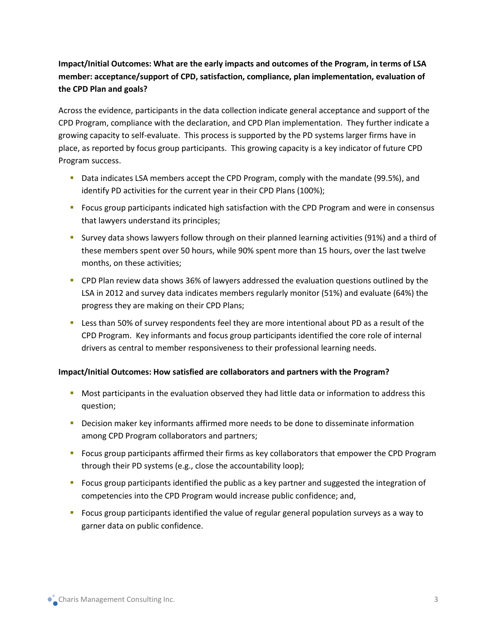## **Impact/Initial Outcomes: What are the early impacts and outcomes of the Program, in terms of LSA member: acceptance/support of CPD, satisfaction, compliance, plan implementation, evaluation of the CPD Plan and goals?**

Across the evidence, participants in the data collection indicate general acceptance and support of the CPD Program, compliance with the declaration, and CPD Plan implementation. They further indicate a growing capacity to self-evaluate. This process is supported by the PD systems larger firms have in place, as reported by focus group participants. This growing capacity is a key indicator of future CPD Program success.

- Data indicates LSA members accept the CPD Program, comply with the mandate (99.5%), and identify PD activities for the current year in their CPD Plans (100%);
- **F** Focus group participants indicated high satisfaction with the CPD Program and were in consensus that lawyers understand its principles;
- Survey data shows lawyers follow through on their planned learning activities (91%) and a third of these members spent over 50 hours, while 90% spent more than 15 hours, over the last twelve months, on these activities;
- CPD Plan review data shows 36% of lawyers addressed the evaluation questions outlined by the LSA in 2012 and survey data indicates members regularly monitor (51%) and evaluate (64%) the progress they are making on their CPD Plans;
- Less than 50% of survey respondents feel they are more intentional about PD as a result of the CPD Program. Key informants and focus group participants identified the core role of internal drivers as central to member responsiveness to their professional learning needs.

#### **Impact/Initial Outcomes: How satisfied are collaborators and partners with the Program?**

- Most participants in the evaluation observed they had little data or information to address this question;
- **-** Decision maker key informants affirmed more needs to be done to disseminate information among CPD Program collaborators and partners;
- **FI** Focus group participants affirmed their firms as key collaborators that empower the CPD Program through their PD systems (e.g., close the accountability loop);
- Focus group participants identified the public as a key partner and suggested the integration of competencies into the CPD Program would increase public confidence; and,
- Focus group participants identified the value of regular general population surveys as a way to garner data on public confidence.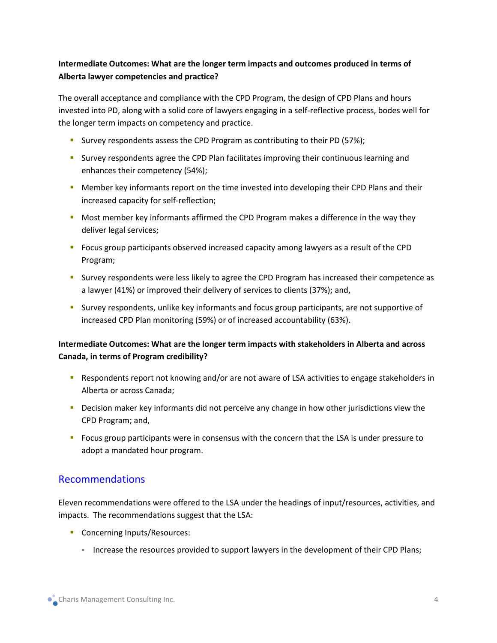### **Intermediate Outcomes: What are the longer term impacts and outcomes produced in terms of Alberta lawyer competencies and practice?**

The overall acceptance and compliance with the CPD Program, the design of CPD Plans and hours invested into PD, along with a solid core of lawyers engaging in a self-reflective process, bodes well for the longer term impacts on competency and practice.

- Survey respondents assess the CPD Program as contributing to their PD (57%);
- **SURIPE 1** Survey respondents agree the CPD Plan facilitates improving their continuous learning and enhances their competency (54%);
- **Member key informants report on the time invested into developing their CPD Plans and their** increased capacity for self-reflection;
- **Most member key informants affirmed the CPD Program makes a difference in the way they** deliver legal services;
- Focus group participants observed increased capacity among lawyers as a result of the CPD Program;
- **Survey respondents were less likely to agree the CPD Program has increased their competence as 1.** a lawyer (41%) or improved their delivery of services to clients (37%); and,
- Survey respondents, unlike key informants and focus group participants, are not supportive of increased CPD Plan monitoring (59%) or of increased accountability (63%).

#### **Intermediate Outcomes: What are the longer term impacts with stakeholders in Alberta and across Canada, in terms of Program credibility?**

- **•** Respondents report not knowing and/or are not aware of LSA activities to engage stakeholders in Alberta or across Canada;
- **Decision maker key informants did not perceive any change in how other jurisdictions view the** CPD Program; and,
- Focus group participants were in consensus with the concern that the LSA is under pressure to adopt a mandated hour program.

## Recommendations

Eleven recommendations were offered to the LSA under the headings of input/resources, activities, and impacts. The recommendations suggest that the LSA:

- **Concerning Inputs/Resources:** 
	- Increase the resources provided to support lawyers in the development of their CPD Plans;